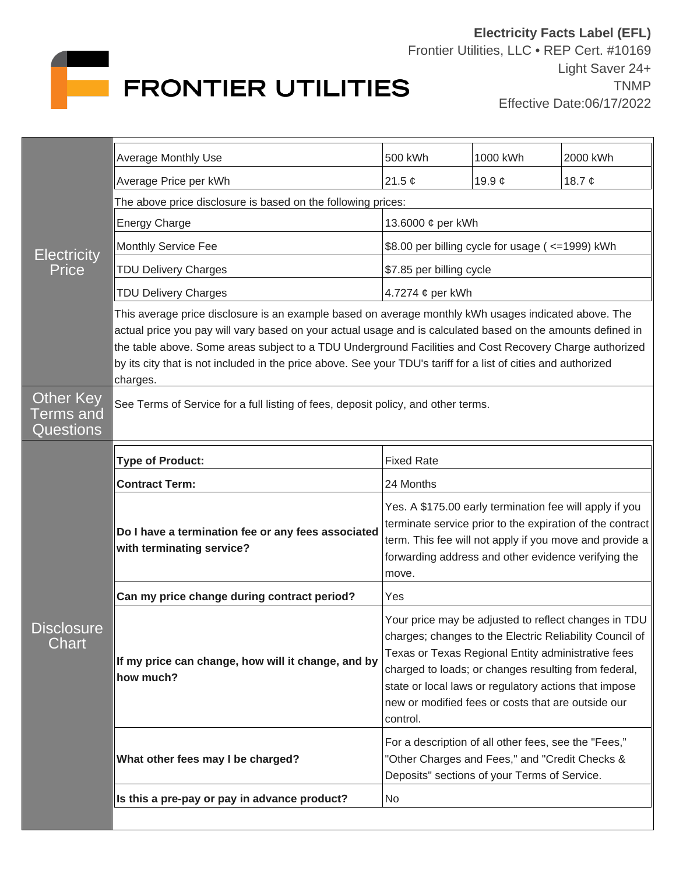

| <b>Electricity</b><br>Price                | Average Monthly Use                                                                                                                                                                                                                                                                                                                                                                                                                                          | 500 kWh                                                                                                                                                                                                                                                                                                                                                  | 1000 kWh    | 2000 kWh    |  |
|--------------------------------------------|--------------------------------------------------------------------------------------------------------------------------------------------------------------------------------------------------------------------------------------------------------------------------------------------------------------------------------------------------------------------------------------------------------------------------------------------------------------|----------------------------------------------------------------------------------------------------------------------------------------------------------------------------------------------------------------------------------------------------------------------------------------------------------------------------------------------------------|-------------|-------------|--|
|                                            | Average Price per kWh                                                                                                                                                                                                                                                                                                                                                                                                                                        | 21.5 $\phi$                                                                                                                                                                                                                                                                                                                                              | 19.9 $\phi$ | 18.7 $\phi$ |  |
|                                            | The above price disclosure is based on the following prices:                                                                                                                                                                                                                                                                                                                                                                                                 |                                                                                                                                                                                                                                                                                                                                                          |             |             |  |
|                                            | <b>Energy Charge</b>                                                                                                                                                                                                                                                                                                                                                                                                                                         | 13.6000 ¢ per kWh                                                                                                                                                                                                                                                                                                                                        |             |             |  |
|                                            | Monthly Service Fee                                                                                                                                                                                                                                                                                                                                                                                                                                          | \$8.00 per billing cycle for usage ( <= 1999) kWh                                                                                                                                                                                                                                                                                                        |             |             |  |
|                                            | <b>TDU Delivery Charges</b>                                                                                                                                                                                                                                                                                                                                                                                                                                  | \$7.85 per billing cycle                                                                                                                                                                                                                                                                                                                                 |             |             |  |
|                                            | <b>TDU Delivery Charges</b>                                                                                                                                                                                                                                                                                                                                                                                                                                  | 4.7274 ¢ per kWh                                                                                                                                                                                                                                                                                                                                         |             |             |  |
|                                            | This average price disclosure is an example based on average monthly kWh usages indicated above. The<br>actual price you pay will vary based on your actual usage and is calculated based on the amounts defined in<br>the table above. Some areas subject to a TDU Underground Facilities and Cost Recovery Charge authorized<br>by its city that is not included in the price above. See your TDU's tariff for a list of cities and authorized<br>charges. |                                                                                                                                                                                                                                                                                                                                                          |             |             |  |
| Other Key<br>Terms and<br><b>Questions</b> | See Terms of Service for a full listing of fees, deposit policy, and other terms.                                                                                                                                                                                                                                                                                                                                                                            |                                                                                                                                                                                                                                                                                                                                                          |             |             |  |
| <b>Disclosure</b><br>Chart                 | <b>Type of Product:</b>                                                                                                                                                                                                                                                                                                                                                                                                                                      | <b>Fixed Rate</b>                                                                                                                                                                                                                                                                                                                                        |             |             |  |
|                                            | <b>Contract Term:</b>                                                                                                                                                                                                                                                                                                                                                                                                                                        | 24 Months                                                                                                                                                                                                                                                                                                                                                |             |             |  |
|                                            | Do I have a termination fee or any fees associated<br>with terminating service?                                                                                                                                                                                                                                                                                                                                                                              | Yes. A \$175.00 early termination fee will apply if you<br>terminate service prior to the expiration of the contract<br>term. This fee will not apply if you move and provide a<br>forwarding address and other evidence verifying the<br>move.                                                                                                          |             |             |  |
|                                            | Can my price change during contract period?                                                                                                                                                                                                                                                                                                                                                                                                                  | Yes                                                                                                                                                                                                                                                                                                                                                      |             |             |  |
|                                            | If my price can change, how will it change, and by<br>how much?                                                                                                                                                                                                                                                                                                                                                                                              | Your price may be adjusted to reflect changes in TDU<br>charges; changes to the Electric Reliability Council of<br>Texas or Texas Regional Entity administrative fees<br>charged to loads; or changes resulting from federal,<br>state or local laws or regulatory actions that impose<br>new or modified fees or costs that are outside our<br>control. |             |             |  |
|                                            | What other fees may I be charged?                                                                                                                                                                                                                                                                                                                                                                                                                            | For a description of all other fees, see the "Fees,"<br>"Other Charges and Fees," and "Credit Checks &<br>Deposits" sections of your Terms of Service.                                                                                                                                                                                                   |             |             |  |
|                                            | Is this a pre-pay or pay in advance product?                                                                                                                                                                                                                                                                                                                                                                                                                 | No                                                                                                                                                                                                                                                                                                                                                       |             |             |  |
|                                            |                                                                                                                                                                                                                                                                                                                                                                                                                                                              |                                                                                                                                                                                                                                                                                                                                                          |             |             |  |